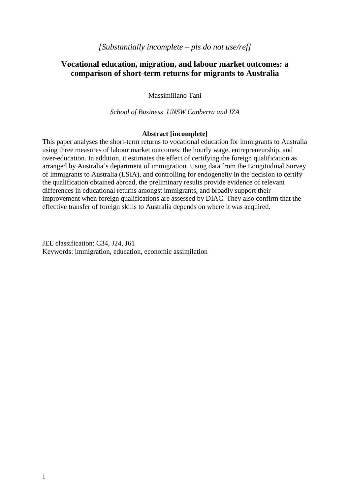# **Vocational education, migration, and labour market outcomes: a comparison of short-term returns for migrants to Australia**

Massimiliano Tani

*School of Business, UNSW Canberra and IZA*

### **Abstract [incomplete]**

This paper analyses the short-term returns to vocational education for immigrants to Australia using three measures of labour market outcomes: the hourly wage, entrepreneurship, and over-education. In addition, it estimates the effect of certifying the foreign qualification as arranged by Australia"s department of immigration. Using data from the Longitudinal Survey of Immigrants to Australia (LSIA), and controlling for endogeneity in the decision to certify the qualification obtained abroad, the preliminary results provide evidence of relevant differences in educational returns amongst immigrants, and broadly support their improvement when foreign qualifications are assessed by DIAC. They also confirm that the effective transfer of foreign skills to Australia depends on where it was acquired.

JEL classification: C34, J24, J61 Keywords: immigration, education, economic assimilation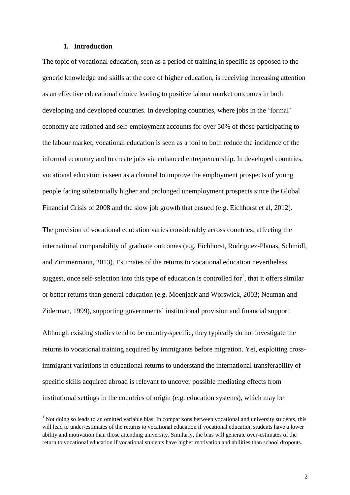#### **1. Introduction**

 $\overline{a}$ 

The topic of vocational education, seen as a period of training in specific as opposed to the generic knowledge and skills at the core of higher education, is receiving increasing attention as an effective educational choice leading to positive labour market outcomes in both developing and developed countries. In developing countries, where jobs in the 'formal' economy are rationed and self-employment accounts for over 50% of those participating to the labour market, vocational education is seen as a tool to both reduce the incidence of the informal economy and to create jobs via enhanced entrepreneurship. In developed countries, vocational education is seen as a channel to improve the employment prospects of young people facing substantially higher and prolonged unemployment prospects since the Global Financial Crisis of 2008 and the slow job growth that ensued (e.g. Eichhorst et al, 2012).

The provision of vocational education varies considerably across countries, affecting the international comparability of graduate outcomes (e.g. Eichhorst, Rodriguez-Planas, Schmidl, and Zimmermann, 2013). Estimates of the returns to vocational education nevertheless suggest, once self-selection into this type of education is controlled for<sup>1</sup>, that it offers similar or better returns than general education (e.g. Moenjack and Worswick, 2003; Neuman and Ziderman, 1999), supporting governments' institutional provision and financial support.

Although existing studies tend to be country-specific, they typically do not investigate the returns to vocational training acquired by immigrants before migration. Yet, exploiting crossimmigrant variations in educational returns to understand the international transferability of specific skills acquired abroad is relevant to uncover possible mediating effects from institutional settings in the countries of origin (e.g. education systems), which may be

 $1$  Not doing so leads to an omitted variable bias. In comparisons between vocational and university students, this will lead to under-estimates of the returns to vocational education if vocational education students have a lower ability and motivation than those attending university. Similarly, the bias will generate over-estimates of the return to vocational education if vocational students have higher motivation and abilities than school dropouts.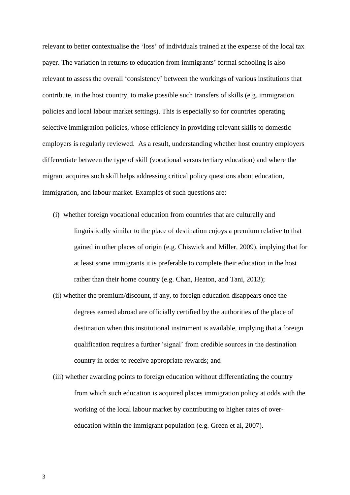relevant to better contextualise the "loss" of individuals trained at the expense of the local tax payer. The variation in returns to education from immigrants" formal schooling is also relevant to assess the overall "consistency" between the workings of various institutions that contribute, in the host country, to make possible such transfers of skills (e.g. immigration policies and local labour market settings). This is especially so for countries operating selective immigration policies, whose efficiency in providing relevant skills to domestic employers is regularly reviewed. As a result, understanding whether host country employers differentiate between the type of skill (vocational versus tertiary education) and where the migrant acquires such skill helps addressing critical policy questions about education, immigration, and labour market. Examples of such questions are:

- (i) whether foreign vocational education from countries that are culturally and linguistically similar to the place of destination enjoys a premium relative to that gained in other places of origin (e.g. Chiswick and Miller, 2009), implying that for at least some immigrants it is preferable to complete their education in the host rather than their home country (e.g. Chan, Heaton, and Tani, 2013);
- (ii) whether the premium/discount, if any, to foreign education disappears once the degrees earned abroad are officially certified by the authorities of the place of destination when this institutional instrument is available, implying that a foreign qualification requires a further "signal" from credible sources in the destination country in order to receive appropriate rewards; and
- (iii) whether awarding points to foreign education without differentiating the country from which such education is acquired places immigration policy at odds with the working of the local labour market by contributing to higher rates of overeducation within the immigrant population (e.g. Green et al, 2007).

3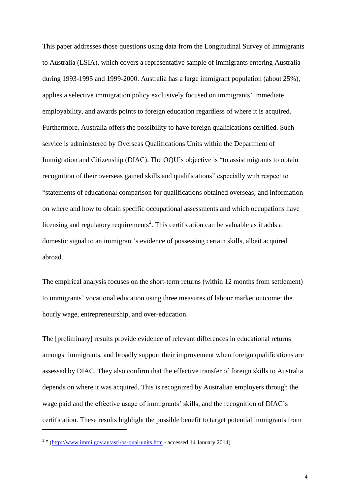This paper addresses those questions using data from the Longitudinal Survey of Immigrants to Australia (LSIA), which covers a representative sample of immigrants entering Australia during 1993-1995 and 1999-2000. Australia has a large immigrant population (about 25%), applies a selective immigration policy exclusively focused on immigrants' immediate employability, and awards points to foreign education regardless of where it is acquired. Furthermore, Australia offers the possibility to have foreign qualifications certified. Such service is administered by Overseas Qualifications Units within the Department of Immigration and Citizenship (DIAC). The OQU"s objective is "to assist migrants to obtain recognition of their overseas gained skills and qualifications" especially with respect to "statements of educational comparison for qualifications obtained overseas; and information on where and how to obtain specific occupational assessments and which occupations have licensing and regulatory requirements<sup>2</sup>. This certification can be valuable as it adds a domestic signal to an immigrant's evidence of possessing certain skills, albeit acquired abroad.

The empirical analysis focuses on the short-term returns (within 12 months from settlement) to immigrants" vocational education using three measures of labour market outcome: the hourly wage, entrepreneurship, and over-education.

The [preliminary] results provide evidence of relevant differences in educational returns amongst immigrants, and broadly support their improvement when foreign qualifications are assessed by DIAC. They also confirm that the effective transfer of foreign skills to Australia depends on where it was acquired. This is recognized by Australian employers through the wage paid and the effective usage of immigrants' skills, and the recognition of DIAC's certification. These results highlight the possible benefit to target potential immigrants from

 $\overline{a}$ 

<sup>&</sup>lt;sup>2</sup> " [\(http://www.immi.gov.au/asri/os-qual-units.htm](http://www.immi.gov.au/asri/os-qual-units.htm) - accessed 14 January 2014)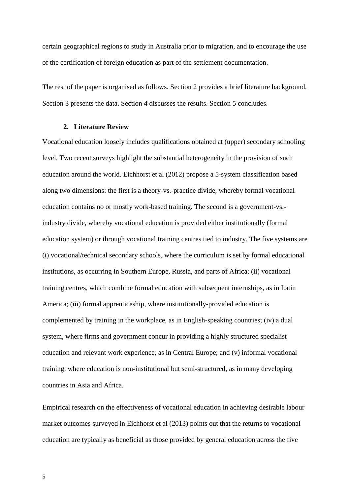certain geographical regions to study in Australia prior to migration, and to encourage the use of the certification of foreign education as part of the settlement documentation.

The rest of the paper is organised as follows. Section 2 provides a brief literature background. Section 3 presents the data. Section 4 discusses the results. Section 5 concludes.

### **2. Literature Review**

Vocational education loosely includes qualifications obtained at (upper) secondary schooling level. Two recent surveys highlight the substantial heterogeneity in the provision of such education around the world. Eichhorst et al (2012) propose a 5-system classification based along two dimensions: the first is a theory-vs.-practice divide, whereby formal vocational education contains no or mostly work-based training. The second is a government-vs. industry divide, whereby vocational education is provided either institutionally (formal education system) or through vocational training centres tied to industry. The five systems are (i) vocational/technical secondary schools, where the curriculum is set by formal educational institutions, as occurring in Southern Europe, Russia, and parts of Africa; (ii) vocational training centres, which combine formal education with subsequent internships, as in Latin America; (iii) formal apprenticeship, where institutionally-provided education is complemented by training in the workplace, as in English-speaking countries; (iv) a dual system, where firms and government concur in providing a highly structured specialist education and relevant work experience, as in Central Europe; and (v) informal vocational training, where education is non-institutional but semi-structured, as in many developing countries in Asia and Africa.

Empirical research on the effectiveness of vocational education in achieving desirable labour market outcomes surveyed in Eichhorst et al (2013) points out that the returns to vocational education are typically as beneficial as those provided by general education across the five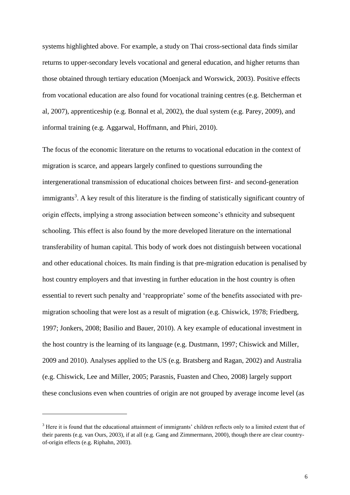systems highlighted above. For example, a study on Thai cross-sectional data finds similar returns to upper-secondary levels vocational and general education, and higher returns than those obtained through tertiary education (Moenjack and Worswick, 2003). Positive effects from vocational education are also found for vocational training centres (e.g. Betcherman et al, 2007), apprenticeship (e.g. Bonnal et al, 2002), the dual system (e.g. Parey, 2009), and informal training (e.g. Aggarwal, Hoffmann, and Phiri, 2010).

The focus of the economic literature on the returns to vocational education in the context of migration is scarce, and appears largely confined to questions surrounding the intergenerational transmission of educational choices between first- and second-generation immigrants<sup>3</sup>. A key result of this literature is the finding of statistically significant country of origin effects, implying a strong association between someone"s ethnicity and subsequent schooling. This effect is also found by the more developed literature on the international transferability of human capital. This body of work does not distinguish between vocational and other educational choices. Its main finding is that pre-migration education is penalised by host country employers and that investing in further education in the host country is often essential to revert such penalty and 'reappropriate' some of the benefits associated with premigration schooling that were lost as a result of migration (e.g. Chiswick, 1978; Friedberg, 1997; Jonkers, 2008; Basilio and Bauer, 2010). A key example of educational investment in the host country is the learning of its language (e.g. Dustmann, 1997; Chiswick and Miller, 2009 and 2010). Analyses applied to the US (e.g. Bratsberg and Ragan, 2002) and Australia (e.g. Chiswick, Lee and Miller, 2005; Parasnis, Fuasten and Cheo, 2008) largely support these conclusions even when countries of origin are not grouped by average income level (as

-

<sup>&</sup>lt;sup>3</sup> Here it is found that the educational attainment of immigrants' children reflects only to a limited extent that of their parents (e.g. van Ours, 2003), if at all (e.g. Gang and Zimmermann, 2000), though there are clear countryof-origin effects (e.g. Riphahn, 2003).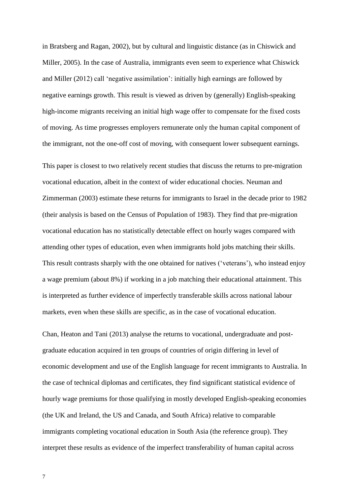in Bratsberg and Ragan, 2002), but by cultural and linguistic distance (as in Chiswick and Miller, 2005). In the case of Australia, immigrants even seem to experience what Chiswick and Miller (2012) call "negative assimilation": initially high earnings are followed by negative earnings growth. This result is viewed as driven by (generally) English-speaking high-income migrants receiving an initial high wage offer to compensate for the fixed costs of moving. As time progresses employers remunerate only the human capital component of the immigrant, not the one-off cost of moving, with consequent lower subsequent earnings.

This paper is closest to two relatively recent studies that discuss the returns to pre-migration vocational education, albeit in the context of wider educational chocies. Neuman and Zimmerman (2003) estimate these returns for immigrants to Israel in the decade prior to 1982 (their analysis is based on the Census of Population of 1983). They find that pre-migration vocational education has no statistically detectable effect on hourly wages compared with attending other types of education, even when immigrants hold jobs matching their skills. This result contrasts sharply with the one obtained for natives ("veterans"), who instead enjoy a wage premium (about 8%) if working in a job matching their educational attainment. This is interpreted as further evidence of imperfectly transferable skills across national labour markets, even when these skills are specific, as in the case of vocational education.

Chan, Heaton and Tani (2013) analyse the returns to vocational, undergraduate and postgraduate education acquired in ten groups of countries of origin differing in level of economic development and use of the English language for recent immigrants to Australia. In the case of technical diplomas and certificates, they find significant statistical evidence of hourly wage premiums for those qualifying in mostly developed English-speaking economies (the UK and Ireland, the US and Canada, and South Africa) relative to comparable immigrants completing vocational education in South Asia (the reference group). They interpret these results as evidence of the imperfect transferability of human capital across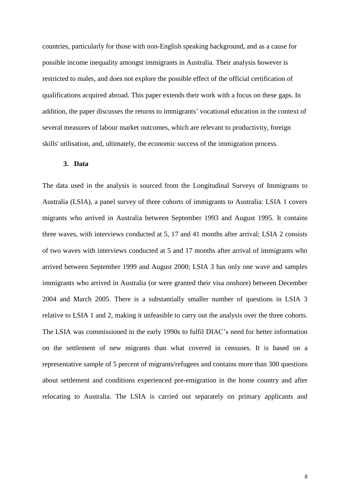countries, particularly for those with non-English speaking background, and as a cause for possible income inequality amongst immigrants in Australia. Their analysis however is restricted to males, and does not explore the possible effect of the official certification of qualifications acquired abroad. This paper extends their work with a focus on these gaps. In addition, the paper discusses the returns to immigrants' vocational education in the context of several measures of labour market outcomes, which are relevant to productivity, foreign skills' utilisation, and, ultimately, the economic success of the immigration process.

### **3. Data**

The data used in the analysis is sourced from the Longitudinal Surveys of Immigrants to Australia (LSIA), a panel survey of three cohorts of immigrants to Australia: LSIA 1 covers migrants who arrived in Australia between September 1993 and August 1995. It contains three waves, with interviews conducted at 5, 17 and 41 months after arrival; LSIA 2 consists of two waves with interviews conducted at 5 and 17 months after arrival of immigrants who arrived between September 1999 and August 2000; LSIA 3 has only one wave and samples immigrants who arrived in Australia (or were granted their visa onshore) between December 2004 and March 2005. There is a substantially smaller number of questions in LSIA 3 relative to LSIA 1 and 2, making it unfeasible to carry out the analysis over the three cohorts. The LSIA was commissioned in the early 1990s to fulfil DIAC"s need for better information on the settlement of new migrants than what covered in censuses. It is based on a representative sample of 5 percent of migrants/refugees and contains more than 300 questions about settlement and conditions experienced pre-emigration in the home country and after relocating to Australia. The LSIA is carried out separately on primary applicants and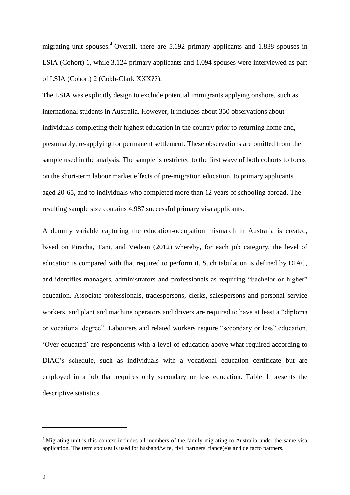migrating-unit spouses.<sup>4</sup> Overall, there are 5,192 primary applicants and 1,838 spouses in LSIA (Cohort) 1, while 3,124 primary applicants and 1,094 spouses were interviewed as part of LSIA (Cohort) 2 (Cobb-Clark XXX??).

The LSIA was explicitly design to exclude potential immigrants applying onshore, such as international students in Australia. However, it includes about 350 observations about individuals completing their highest education in the country prior to returning home and, presumably, re-applying for permanent settlement. These observations are omitted from the sample used in the analysis. The sample is restricted to the first wave of both cohorts to focus on the short-term labour market effects of pre-migration education, to primary applicants aged 20-65, and to individuals who completed more than 12 years of schooling abroad. The resulting sample size contains 4,987 successful primary visa applicants.

A dummy variable capturing the education-occupation mismatch in Australia is created, based on Piracha, Tani, and Vedean (2012) whereby, for each job category, the level of education is compared with that required to perform it. Such tabulation is defined by DIAC, and identifies managers, administrators and professionals as requiring "bachelor or higher" education. Associate professionals, tradespersons, clerks, salespersons and personal service workers, and plant and machine operators and drivers are required to have at least a "diploma or vocational degree". Labourers and related workers require "secondary or less" education. "Over-educated" are respondents with a level of education above what required according to DIAC"s schedule, such as individuals with a vocational education certificate but are employed in a job that requires only secondary or less education. Table 1 presents the descriptive statistics.

-

<sup>&</sup>lt;sup>4</sup> Migrating unit is this context includes all members of the family migrating to Australia under the same visa application. The term spouses is used for husband/wife, civil partners, fiancé(e)s and de facto partners.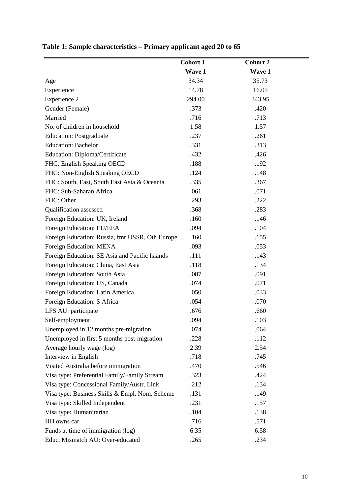|                                                 | <b>Cohort 1</b> | <b>Cohort 2</b> |
|-------------------------------------------------|-----------------|-----------------|
|                                                 | Wave 1          | Wave 1          |
| Age                                             | 34.34           | 35.73           |
| Experience                                      | 14.78           | 16.05           |
| Experience 2                                    | 294.00          | 343.95          |
| Gender (Female)                                 | .373            | .420            |
| Married                                         | .716            | .713            |
| No. of children in household                    | 1.58            | 1.57            |
| <b>Education: Postgraduate</b>                  | .237            | .261            |
| <b>Education: Bachelor</b>                      | .331            | .313            |
| Education: Diploma/Certificate                  | .432            | .426            |
| FHC: English Speaking OECD                      | .188            | .192            |
| FHC: Non-English Speaking OECD                  | .124            | .148            |
| FHC: South, East, South East Asia & Oceania     | .335            | .367            |
| FHC: Sub-Saharan Africa                         | .061            | .071            |
| FHC: Other                                      | .293            | .222            |
| Qualification assessed                          | .368            | .283            |
| Foreign Education: UK, Ireland                  | .160            | .146            |
| Foreign Education: EU/EEA                       | .094            | .104            |
| Foreign Education: Russia, fmr USSR, Oth Europe | .160            | .155            |
| Foreign Education: MENA                         | .093            | .053            |
| Foreign Education: SE Asia and Pacific Islands  | .111            | .143            |
| Foreign Education: China, East Asia             | .118            | .134            |
| Foreign Education: South Asia                   | .087            | .091            |
| Foreign Education: US, Canada                   | .074            | .071            |
| Foreign Education: Latin America                | .050            | .033            |
| Foreign Education: S Africa                     | .054            | .070            |
| LFS AU: participate                             | .676            | .660            |
| Self-employment                                 | .094            | .103            |
| Unemployed in 12 months pre-migration           | .074            | .064            |
| Unemployed in first 5 months post-migration     | .228            | .112            |
| Average hourly wage (log)                       | 2.39            | 2.54            |
| Interview in English                            | .718            | .745            |
| Visited Australia before immigration            | .470            | .546            |
| Visa type: Preferential Family/Family Stream    | .323            | .424            |
| Visa type: Concessional Family/Austr. Link      | .212            | .134            |
| Visa type: Business Skills & Empl. Nom. Scheme  | .131            | .149            |
| Visa type: Skilled Independent                  | .231            | .157            |
| Visa type: Humanitarian                         | .104            | .138            |
| HH owns car                                     | .716            | .571            |
| Funds at time of immigration (log)              | 6.35            | 6.58            |
| Educ. Mismatch AU: Over-educated                | .265            | .234            |

# **Table 1: Sample characteristics – Primary applicant aged 20 to 65**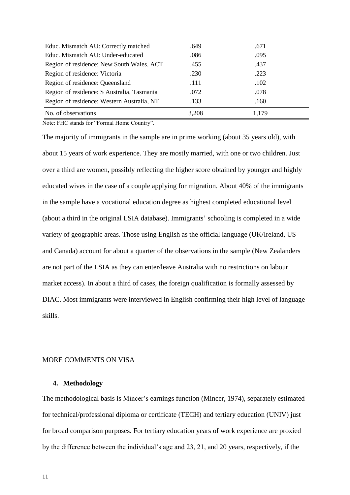| Educ. Mismatch AU: Correctly matched       | .649  | .671  |  |
|--------------------------------------------|-------|-------|--|
| Educ. Mismatch AU: Under-educated          | .086  | .095  |  |
| Region of residence: New South Wales, ACT  | .455  | .437  |  |
| Region of residence: Victoria              | .230  | .223  |  |
| Region of residence: Queensland            | .111  | .102  |  |
| Region of residence: S Australia, Tasmania | .072  | .078  |  |
| Region of residence: Western Australia, NT | .133  | .160  |  |
| No. of observations                        | 3,208 | 1.179 |  |

Note: FHC stands for "Formal Home Country".

The majority of immigrants in the sample are in prime working (about 35 years old), with about 15 years of work experience. They are mostly married, with one or two children. Just over a third are women, possibly reflecting the higher score obtained by younger and highly educated wives in the case of a couple applying for migration. About 40% of the immigrants in the sample have a vocational education degree as highest completed educational level (about a third in the original LSIA database). Immigrants" schooling is completed in a wide variety of geographic areas. Those using English as the official language (UK/Ireland, US and Canada) account for about a quarter of the observations in the sample (New Zealanders are not part of the LSIA as they can enter/leave Australia with no restrictions on labour market access). In about a third of cases, the foreign qualification is formally assessed by DIAC. Most immigrants were interviewed in English confirming their high level of language skills.

#### MORE COMMENTS ON VISA

### **4. Methodology**

The methodological basis is Mincer"s earnings function (Mincer, 1974), separately estimated for technical/professional diploma or certificate (TECH) and tertiary education (UNIV) just for broad comparison purposes. For tertiary education years of work experience are proxied by the difference between the individual"s age and 23, 21, and 20 years, respectively, if the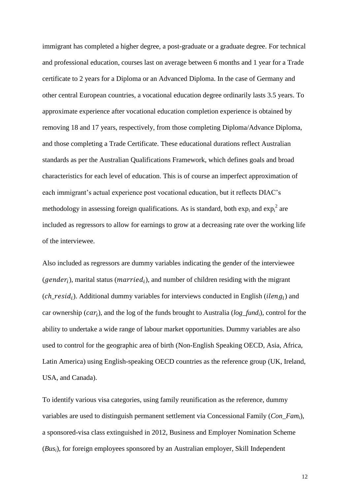immigrant has completed a higher degree, a post-graduate or a graduate degree. For technical and professional education, courses last on average between 6 months and 1 year for a Trade certificate to 2 years for a Diploma or an Advanced Diploma. In the case of Germany and other central European countries, a vocational education degree ordinarily lasts 3.5 years. To approximate experience after vocational education completion experience is obtained by removing 18 and 17 years, respectively, from those completing Diploma/Advance Diploma, and those completing a Trade Certificate. These educational durations reflect Australian standards as per the Australian Qualifications Framework, which defines goals and broad characteristics for each level of education. This is of course an imperfect approximation of each immigrant's actual experience post vocational education, but it reflects DIAC's methodology in assessing foreign qualifications. As is standard, both  $\exp_i$  and  $\exp_i^2$  are included as regressors to allow for earnings to grow at a decreasing rate over the working life of the interviewee.

Also included as regressors are dummy variables indicating the gender of the interviewee (gender<sub>i</sub>), marital status (married<sub>i</sub>), and number of children residing with the migrant  $(ch\_resid_i)$ . Additional dummy variables for interviews conducted in English (*ileng<sub>i</sub>*) and car ownership ( $car_i$ ), and the log of the funds brought to Australia ( $log\_fund_i$ ), control for the ability to undertake a wide range of labour market opportunities. Dummy variables are also used to control for the geographic area of birth (Non-English Speaking OECD, Asia, Africa, Latin America) using English-speaking OECD countries as the reference group (UK, Ireland, USA, and Canada).

To identify various visa categories, using family reunification as the reference, dummy variables are used to distinguish permanent settlement via Concessional Family (*Con\_Fami*), a sponsored-visa class extinguished in 2012, Business and Employer Nomination Scheme (*Busi*), for foreign employees sponsored by an Australian employer, Skill Independent

12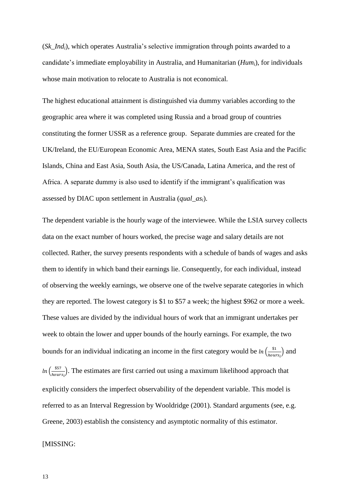(*Sk\_Indi*), which operates Australia"s selective immigration through points awarded to a candidate"s immediate employability in Australia, and Humanitarian (*Humi*), for individuals whose main motivation to relocate to Australia is not economical.

The highest educational attainment is distinguished via dummy variables according to the geographic area where it was completed using Russia and a broad group of countries constituting the former USSR as a reference group. Separate dummies are created for the UK/Ireland, the EU/European Economic Area, MENA states, South East Asia and the Pacific Islands, China and East Asia, South Asia, the US/Canada, Latina America, and the rest of Africa. A separate dummy is also used to identify if the immigrant's qualification was assessed by DIAC upon settlement in Australia (*qual\_asi*).

The dependent variable is the hourly wage of the interviewee. While the LSIA survey collects data on the exact number of hours worked, the precise wage and salary details are not collected. Rather, the survey presents respondents with a schedule of bands of wages and asks them to identify in which band their earnings lie. Consequently, for each individual, instead of observing the weekly earnings, we observe one of the twelve separate categories in which they are reported. The lowest category is \$1 to \$57 a week; the highest \$962 or more a week. These values are divided by the individual hours of work that an immigrant undertakes per week to obtain the lower and upper bounds of the hourly earnings. For example, the two bounds for an individual indicating an income in the first category would be  $\ln\left(\frac{\epsilon}{\hbar\omega}\right)$  $\frac{\$1}{hours_i}$ ) and  $ln\left(\frac{\$}{\cdot}\right)$  $\frac{$57}{hours_i}$ ). The estimates are first carried out using a maximum likelihood approach that explicitly considers the imperfect observability of the dependent variable. This model is referred to as an Interval Regression by Wooldridge (2001). Standard arguments (see, e.g. Greene, 2003) establish the consistency and asymptotic normality of this estimator.

[MISSING:

13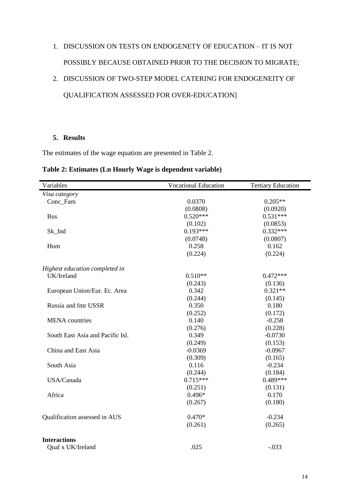# 1. DISCUSSION ON TESTS ON ENDOGENETY OF EDUCATION – IT IS NOT POSSIBLY BECAUSE OBTAINED PRIOR TO THE DECISION TO MIGRATE;

# 2. DISCUSSION OF TWO-STEP MODEL CATERING FOR ENDOGENEITY OF QUALIFICATION ASSESSED FOR OVER-EDUCATION]

### **5. Results**

The estimates of the wage equation are presented in Table 2.

| Table 2: Estimates (Ln Hourly Wage is dependent variable) |  |  |  |  |
|-----------------------------------------------------------|--|--|--|--|
|-----------------------------------------------------------|--|--|--|--|

| Variables                        | <b>Vocational Education</b> | <b>Tertiary Education</b> |
|----------------------------------|-----------------------------|---------------------------|
| Visa category                    |                             |                           |
| Conc_Fam                         | 0.0370                      | $0.205**$                 |
|                                  | (0.0808)                    | (0.0920)                  |
| <b>Bus</b>                       | $0.520***$                  | $0.531***$                |
|                                  | (0.102)                     | (0.0853)                  |
| Sk_Ind                           | $0.193***$                  | $0.332***$                |
|                                  | (0.0748)                    | (0.0807)                  |
| Hum                              | 0.258                       | 0.162                     |
|                                  | (0.224)                     | (0.224)                   |
| Highest education completed in   |                             |                           |
| UK/Ireland                       | $0.510**$                   | $0.472***$                |
|                                  | (0.243)                     | (0.136)                   |
| European Union/Eur. Ec. Area     | 0.342                       | $0.321**$                 |
|                                  | (0.244)                     | (0.145)                   |
| Russia and fmr USSR              | 0.350                       | 0.180                     |
|                                  | (0.252)                     | (0.172)                   |
| <b>MENA</b> countries            | 0.140                       | $-0.258$                  |
|                                  | (0.276)                     | (0.228)                   |
| South East Asia and Pacific Isl. | 0.349                       | $-0.0730$                 |
|                                  | (0.249)                     | (0.153)                   |
| China and East Asia              | $-0.0369$                   | $-0.0967$                 |
|                                  | (0.309)                     | (0.165)                   |
| South Asia                       | 0.116                       | $-0.234$                  |
|                                  | (0.244)                     | (0.184)                   |
| USA/Canada                       | $0.715***$                  | $0.489***$                |
|                                  | (0.251)                     | (0.131)                   |
| Africa                           | $0.496*$                    | 0.170                     |
|                                  | (0.267)                     | (0.180)                   |
| Qualification assessed in AUS    | $0.470*$                    | $-0.234$                  |
|                                  | (0.261)                     | (0.265)                   |
| <b>Interactions</b>              |                             |                           |
| Oual x UK/Ireland                | .025                        | $-.033$                   |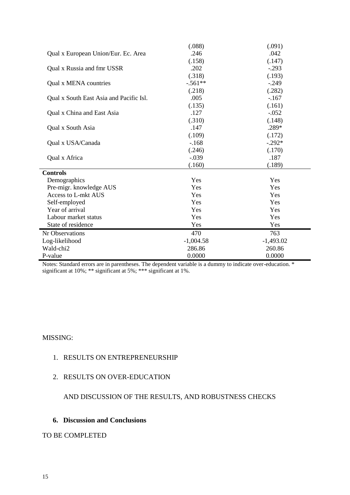|                                         | (.088)      | (.091)      |
|-----------------------------------------|-------------|-------------|
| Qual x European Union/Eur. Ec. Area     | .246        | .042        |
|                                         | (.158)      | (.147)      |
| Qual x Russia and fmr USSR              | .202        | $-.293$     |
|                                         | (.318)      | (.193)      |
| Qual x MENA countries                   | $-.561**$   | $-.249$     |
|                                         | (.218)      | (.282)      |
| Qual x South East Asia and Pacific Isl. | .005        | $-.167$     |
|                                         | (.135)      | (.161)      |
| Qual x China and East Asia              | .127        | $-.052$     |
|                                         | (.310)      | (.148)      |
| Qual x South Asia                       | .147        | .289*       |
|                                         | (.109)      | (.172)      |
| Qual x USA/Canada                       | $-168$      | $-.292*$    |
|                                         | (.246)      | (.170)      |
| Qual x Africa                           | $-.039$     | .187        |
|                                         | (.160)      | (.189)      |
| <b>Controls</b>                         |             |             |
| Demographics                            | Yes         | Yes         |
| Pre-migr. knowledge AUS                 | Yes         | Yes         |
| Access to L-mkt AUS                     | Yes         | Yes         |
| Self-employed                           | Yes         | Yes         |
| Year of arrival                         | Yes         | Yes         |
| Labour market status                    | Yes         | Yes         |
| State of residence                      | Yes         | Yes         |
| Nr Observations                         | 470         | 763         |
| Log-likelihood                          | $-1,004.58$ | $-1,493.02$ |
| Wald-chi2                               | 286.86      | 260.86      |
| P-value                                 | 0.0000      | 0.0000      |

Notes: Standard errors are in parentheses. The dependent variable is a dummy to indicate over-education. \* significant at 10%; \*\* significant at 5%; \*\*\* significant at 1%.

### MISSING:

## 1. RESULTS ON ENTREPRENEURSHIP

### 2. RESULTS ON OVER-EDUCATION

# AND DISCUSSION OF THE RESULTS, AND ROBUSTNESS CHECKS

### **6. Discussion and Conclusions**

# TO BE COMPLETED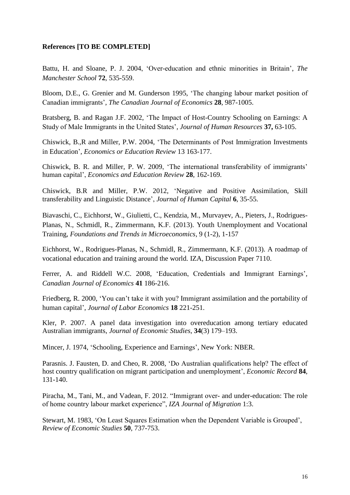### **References [TO BE COMPLETED]**

Battu, H. and Sloane, P. J. 2004, "Over-education and ethnic minorities in Britain", *The Manchester School* **72**, 535-559.

Bloom, D.E., G. Grenier and M. Gunderson 1995, "The changing labour market position of Canadian immigrants", *The Canadian Journal of Economics* **28**, 987-1005.

Bratsberg, B. and Ragan J.F. 2002, "The Impact of Host-Country Schooling on Earnings: A Study of Male Immigrants in the United States", *Journal of Human Resources* **37,** 63-105.

Chiswick, B.,R and Miller, P.W. 2004, "The Determinants of Post Immigration Investments in Education", *Economics or Education Review* 13 163-177.

Chiswick, B. R. and Miller, P. W. 2009, "The international transferability of immigrants" human capital", *Economics and Education Review* **28**, 162-169.

Chiswick, B.R and Miller, P.W. 2012, "Negative and Positive Assimilation, Skill transferability and Linguistic Distance", *Journal of Human Capital* **6**, 35-55.

Biavaschi, C., Eichhorst, W., Giulietti, C., Kendzia, M., Murvayev, A., Pieters, J., Rodrigues-Planas, N., Schmidl, R., Zimmermann, K.F. (2013). Youth Unemployment and Vocational Training, *Foundations and Trends in Microeconomics*, 9 (1-2), 1-157

Eichhorst, W., Rodrigues-Planas, N., Schmidl, R., Zimmermann, K.F. (2013). A roadmap of vocational education and training around the world. IZA, Discussion Paper 7110.

Ferrer, A. and Riddell W.C. 2008, 'Education, Credentials and Immigrant Earnings', *Canadian Journal of Economics* **41** 186-216.

Friedberg, R. 2000, "You can"t take it with you? Immigrant assimilation and the portability of human capital", *Journal of Labor Economics* **18** 221-251.

Kler, P. 2007. A panel data investigation into overeducation among tertiary educated Australian immigrants, *Journal of Economic Studies*, **34**(3) 179–193.

Mincer, J. 1974, 'Schooling, Experience and Earnings', New York: NBER.

Parasnis. J. Fausten, D. and Cheo, R. 2008, "Do Australian qualifications help? The effect of host country qualification on migrant participation and unemployment', *Economic Record* 84, 131-140.

Piracha, M., Tani, M., and Vadean, F. 2012. "Immigrant over- and under-education: The role of home country labour market experience", *IZA Journal of Migration* 1:3.

Stewart, M. 1983, "On Least Squares Estimation when the Dependent Variable is Grouped", *Review of Economic Studies* **50**, 737-753.